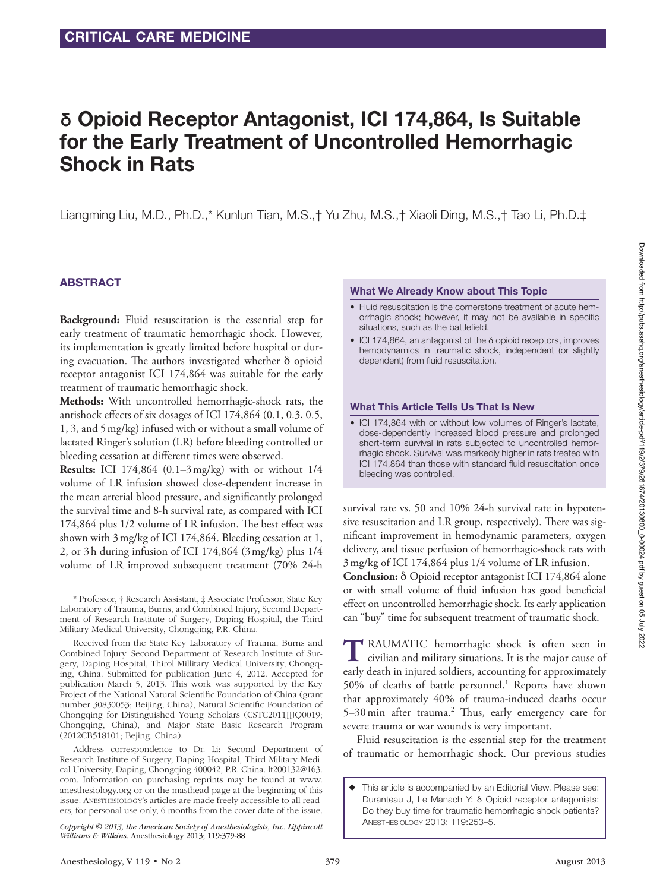# **δ** Opioid Receptor Antagonist, ICI 174,864, Is Suitable for the Early Treatment of Uncontrolled Hemorrhagic Shock in Rats

Liangming Liu, M.D., Ph.D.,\* Kunlun Tian, M.S.,† Yu Zhu, M.S.,† Xiaoli Ding, M.S.,† Tao Li, Ph.D.‡

## ABSTRACT

**Background:** Fluid resuscitation is the essential step for early treatment of traumatic hemorrhagic shock. However, its implementation is greatly limited before hospital or during evacuation. The authors investigated whether  $\delta$  opioid receptor antagonist ICI 174,864 was suitable for the early treatment of traumatic hemorrhagic shock.

**Methods:** With uncontrolled hemorrhagic-shock rats, the antishock effects of six dosages of ICI 174,864 (0.1, 0.3, 0.5, 1, 3, and 5mg/kg) infused with or without a small volume of lactated Ringer's solution (LR) before bleeding controlled or bleeding cessation at different times were observed.

**Results:** ICI 174,864 (0.1–3mg/kg) with or without 1/4 volume of LR infusion showed dose-dependent increase in the mean arterial blood pressure, and significantly prolonged the survival time and 8-h survival rate, as compared with ICI 174,864 plus 1/2 volume of LR infusion. The best effect was shown with 3mg/kg of ICI 174,864. Bleeding cessation at 1, 2, or 3h during infusion of ICI 174,864 (3mg/kg) plus 1/4 volume of LR improved subsequent treatment (70% 24-h

#### What We Already Know about This Topic

- Fluid resuscitation is the cornerstone treatment of acute hemorrhagic shock; however, it may not be available in specific situations, such as the battlefield.
- ICI 174,864, an antagonist of the δ opioid receptors, improves hemodynamics in traumatic shock, independent (or slightly dependent) from fluid resuscitation.

#### What This Article Tells Us That Is New

• ICI 174,864 with or without low volumes of Ringer's lactate, dose-dependently increased blood pressure and prolonged short-term survival in rats subjected to uncontrolled hemorrhagic shock. Survival was markedly higher in rats treated with ICI 174,864 than those with standard fluid resuscitation once bleeding was controlled.

survival rate vs. 50 and 10% 24-h survival rate in hypotensive resuscitation and LR group, respectively). There was significant improvement in hemodynamic parameters, oxygen delivery, and tissue perfusion of hemorrhagic-shock rats with 3mg/kg of ICI 174,864 plus 1/4 volume of LR infusion.

**Conclusion:** δ Opioid receptor antagonist ICI 174,864 alone or with small volume of fluid infusion has good beneficial effect on uncontrolled hemorrhagic shock. Its early application can "buy" time for subsequent treatment of traumatic shock.

**T**RAUMATIC hemorrhagic shock is often seen in civilian and military situations. It is the major cause of early death in injured soldiers, accounting for approximately 50% of deaths of battle personnel.<sup>1</sup> Reports have shown that approximately 40% of trauma-induced deaths occur 5-30 min after trauma.<sup>2</sup> Thus, early emergency care for severe trauma or war wounds is very important.

Fluid resuscitation is the essential step for the treatment of traumatic or hemorrhagic shock. Our previous studies

<sup>\*</sup> Professor, † Research Assistant, ‡ Associate Professor, State Key Laboratory of Trauma, Burns, and Combined Injury, Second Department of Research Institute of Surgery, Daping Hospital, the Third Military Medical University, Chongqing, P.R. China.

Received from the State Key Laboratory of Trauma, Burns and Combined Injury. Second Department of Research Institute of Surgery, Daping Hospital, Thirol Millitary Medical University, Chongqing, China. Submitted for publication June 4, 2012. Accepted for publication March 5, 2013. This work was supported by the Key Project of the National Natural Scientific Foundation of China (grant number 30830053; Beijing, China), Natural Scientific Foundation of Chongqing for Distinguished Young Scholars (CSTC2011JJJQ0019; Chongqing, China), and Major State Basic Research Program (2012CB518101; Bejing, China).

Address correspondence to Dr. Li: Second Department of Research Institute of Surgery, Daping Hospital, Third Military Medical University, Daping, Chongqing 400042, P.R. China. [lt200132@163.](mailto:lt200132@163.com) [com](mailto:lt200132@163.com). Information on purchasing reprints may be found at [www.](http://www.anesthesiology.org) [anesthesiology.org](http://www.anesthesiology.org) or on the masthead page at the beginning of this issue. Anesthesiology's articles are made freely accessible to all readers, for personal use only, 6 months from the cover date of the issue.

*Copyright © 2013, the American Society of Anesthesiologists, Inc. Lippincott Williams & Wilkins.* Anesthesiology 2013; 119:379-88

<sup>◆</sup> This article is accompanied by an Editorial View. Please see: Duranteau J, Le Manach Y: δ Opioid receptor antagonists: Do they buy time for traumatic hemorrhagic shock patients? Anesthesiology 2013; 119:253–5.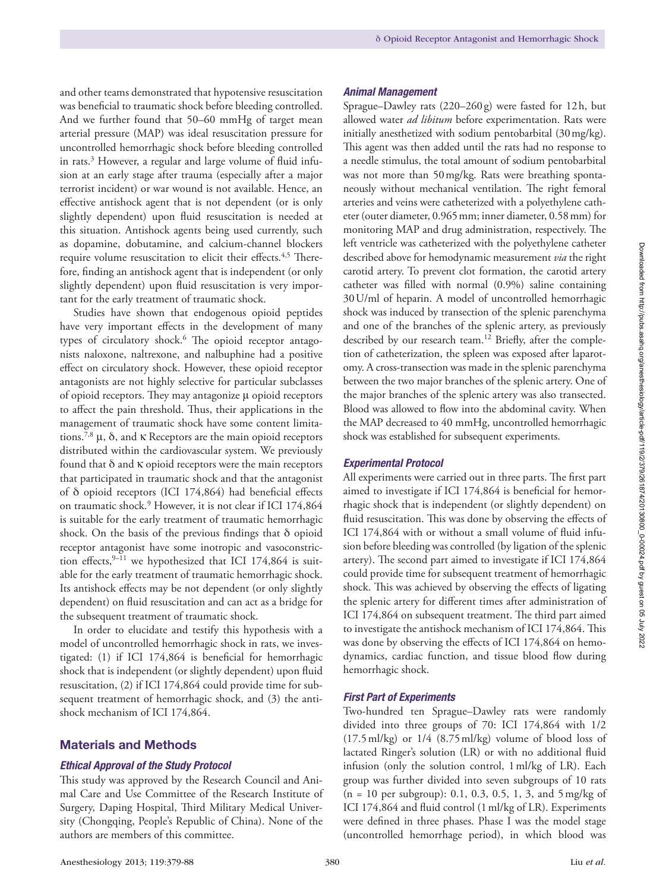and other teams demonstrated that hypotensive resuscitation was beneficial to traumatic shock before bleeding controlled. And we further found that 50–60 mmHg of target mean arterial pressure (MAP) was ideal resuscitation pressure for uncontrolled hemorrhagic shock before bleeding controlled in rats.<sup>3</sup> However, a regular and large volume of fluid infusion at an early stage after trauma (especially after a major terrorist incident) or war wound is not available. Hence, an effective antishock agent that is not dependent (or is only slightly dependent) upon fluid resuscitation is needed at this situation. Antishock agents being used currently, such as dopamine, dobutamine, and calcium-channel blockers require volume resuscitation to elicit their effects.<sup>4,5</sup> Therefore, finding an antishock agent that is independent (or only slightly dependent) upon fluid resuscitation is very important for the early treatment of traumatic shock.

Studies have shown that endogenous opioid peptides have very important effects in the development of many types of circulatory shock.<sup>6</sup> The opioid receptor antagonists naloxone, naltrexone, and nalbuphine had a positive effect on circulatory shock. However, these opioid receptor antagonists are not highly selective for particular subclasses of opioid receptors. They may antagonize μ opioid receptors to affect the pain threshold. Thus, their applications in the management of traumatic shock have some content limitations.<sup>7,8</sup> μ, δ, and κ Receptors are the main opioid receptors distributed within the cardiovascular system. We previously found that δ and κ opioid receptors were the main receptors that participated in traumatic shock and that the antagonist of δ opioid receptors (ICI 174,864) had beneficial effects on traumatic shock.9 However, it is not clear if ICI 174,864 is suitable for the early treatment of traumatic hemorrhagic shock. On the basis of the previous findings that δ opioid receptor antagonist have some inotropic and vasoconstriction effects,  $9-11$  we hypothesized that ICI 174,864 is suitable for the early treatment of traumatic hemorrhagic shock. Its antishock effects may be not dependent (or only slightly dependent) on fluid resuscitation and can act as a bridge for the subsequent treatment of traumatic shock.

In order to elucidate and testify this hypothesis with a model of uncontrolled hemorrhagic shock in rats, we investigated: (1) if ICI 174,864 is beneficial for hemorrhagic shock that is independent (or slightly dependent) upon fluid resuscitation, (2) if ICI 174,864 could provide time for subsequent treatment of hemorrhagic shock, and (3) the antishock mechanism of ICI 174,864.

## Materials and Methods

## *Ethical Approval of the Study Protocol*

This study was approved by the Research Council and Animal Care and Use Committee of the Research Institute of Surgery, Daping Hospital, Third Military Medical University (Chongqing, People's Republic of China). None of the authors are members of this committee.

#### *Animal Management*

Sprague–Dawley rats (220–260g) were fasted for 12h, but allowed water *ad libitum* before experimentation. Rats were initially anesthetized with sodium pentobarbital (30mg/kg). This agent was then added until the rats had no response to a needle stimulus, the total amount of sodium pentobarbital was not more than 50mg/kg. Rats were breathing spontaneously without mechanical ventilation. The right femoral arteries and veins were catheterized with a polyethylene catheter (outer diameter, 0.965mm; inner diameter, 0.58mm) for monitoring MAP and drug administration, respectively. The left ventricle was catheterized with the polyethylene catheter described above for hemodynamic measurement *via* the right carotid artery. To prevent clot formation, the carotid artery catheter was filled with normal (0.9%) saline containing 30U/ml of heparin. A model of uncontrolled hemorrhagic shock was induced by transection of the splenic parenchyma and one of the branches of the splenic artery, as previously described by our research team.<sup>12</sup> Briefly, after the completion of catheterization, the spleen was exposed after laparotomy. A cross-transection was made in the splenic parenchyma between the two major branches of the splenic artery. One of the major branches of the splenic artery was also transected. Blood was allowed to flow into the abdominal cavity. When the MAP decreased to 40 mmHg, uncontrolled hemorrhagic shock was established for subsequent experiments.

#### *Experimental Protocol*

All experiments were carried out in three parts. The first part aimed to investigate if ICI 174,864 is beneficial for hemorrhagic shock that is independent (or slightly dependent) on fluid resuscitation. This was done by observing the effects of ICI 174,864 with or without a small volume of fluid infusion before bleeding was controlled (by ligation of the splenic artery). The second part aimed to investigate if ICI 174,864 could provide time for subsequent treatment of hemorrhagic shock. This was achieved by observing the effects of ligating the splenic artery for different times after administration of ICI 174,864 on subsequent treatment. The third part aimed to investigate the antishock mechanism of ICI 174,864. This was done by observing the effects of ICI 174,864 on hemodynamics, cardiac function, and tissue blood flow during hemorrhagic shock.

#### *First Part of Experiments*

Two-hundred ten Sprague–Dawley rats were randomly divided into three groups of 70: ICI 174,864 with 1/2 (17.5ml/kg) or 1/4 (8.75ml/kg) volume of blood loss of lactated Ringer's solution (LR) or with no additional fluid infusion (only the solution control, 1ml/kg of LR). Each group was further divided into seven subgroups of 10 rats  $(n = 10 \text{ per subgroup})$ : 0.1, 0.3, 0.5, 1, 3, and 5 mg/kg of ICI 174,864 and fluid control (1ml/kg of LR). Experiments were defined in three phases. Phase I was the model stage (uncontrolled hemorrhage period), in which blood was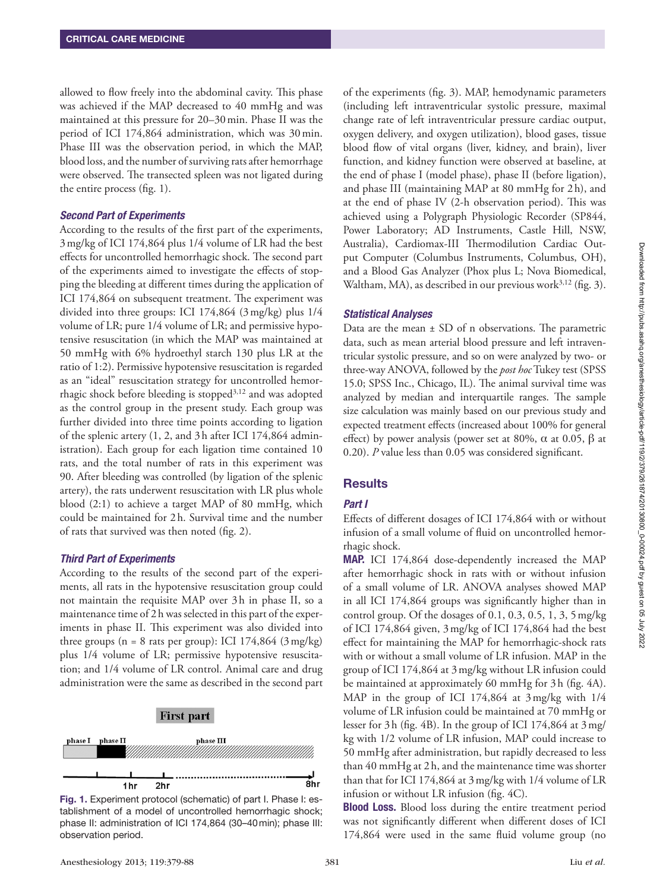allowed to flow freely into the abdominal cavity. This phase was achieved if the MAP decreased to 40 mmHg and was maintained at this pressure for 20–30min. Phase II was the period of ICI 174,864 administration, which was 30min. Phase III was the observation period, in which the MAP, blood loss, and the number of surviving rats after hemorrhage were observed. The transected spleen was not ligated during the entire process (fig. 1).

#### *Second Part of Experiments*

According to the results of the first part of the experiments, 3mg/kg of ICI 174,864 plus 1/4 volume of LR had the best effects for uncontrolled hemorrhagic shock. The second part of the experiments aimed to investigate the effects of stopping the bleeding at different times during the application of ICI 174,864 on subsequent treatment. The experiment was divided into three groups: ICI 174,864 (3mg/kg) plus 1/4 volume of LR; pure 1/4 volume of LR; and permissive hypotensive resuscitation (in which the MAP was maintained at 50 mmHg with 6% hydroethyl starch 130 plus LR at the ratio of 1:2). Permissive hypotensive resuscitation is regarded as an "ideal" resuscitation strategy for uncontrolled hemorrhagic shock before bleeding is stopped $3,12$  and was adopted as the control group in the present study. Each group was further divided into three time points according to ligation of the splenic artery (1, 2, and 3h after ICI 174,864 administration). Each group for each ligation time contained 10 rats, and the total number of rats in this experiment was 90. After bleeding was controlled (by ligation of the splenic artery), the rats underwent resuscitation with LR plus whole blood (2:1) to achieve a target MAP of 80 mmHg, which could be maintained for 2h. Survival time and the number of rats that survived was then noted (fig. 2).

## *Third Part of Experiments*

According to the results of the second part of the experiments, all rats in the hypotensive resuscitation group could not maintain the requisite MAP over 3h in phase II, so a maintenance time of 2h was selected in this part of the experiments in phase II. This experiment was also divided into three groups ( $n = 8$  rats per group): ICI 174,864 (3 mg/kg) plus 1/4 volume of LR; permissive hypotensive resuscitation; and 1/4 volume of LR control. Animal care and drug administration were the same as described in the second part



Fig. 1. Experiment protocol (schematic) of part I. Phase I: establishment of a model of uncontrolled hemorrhagic shock; phase II: administration of ICI 174,864 (30–40min); phase III: observation period.

of the experiments (fig. 3). MAP, hemodynamic parameters (including left intraventricular systolic pressure, maximal change rate of left intraventricular pressure cardiac output, oxygen delivery, and oxygen utilization), blood gases, tissue blood flow of vital organs (liver, kidney, and brain), liver function, and kidney function were observed at baseline, at the end of phase I (model phase), phase II (before ligation), and phase III (maintaining MAP at 80 mmHg for 2h), and at the end of phase IV (2-h observation period). This was achieved using a Polygraph Physiologic Recorder (SP844, Power Laboratory; AD Instruments, Castle Hill, NSW, Australia), Cardiomax-III Thermodilution Cardiac Output Computer (Columbus Instruments, Columbus, OH), and a Blood Gas Analyzer (Phox plus L; Nova Biomedical, Waltham, MA), as described in our previous work $3,12$  (fig. 3).

### *Statistical Analyses*

Data are the mean  $\pm$  SD of n observations. The parametric data, such as mean arterial blood pressure and left intraventricular systolic pressure, and so on were analyzed by two- or three-way ANOVA, followed by the *post hoc* Tukey test (SPSS 15.0; SPSS Inc., Chicago, IL). The animal survival time was analyzed by median and interquartile ranges. The sample size calculation was mainly based on our previous study and expected treatment effects (increased about 100% for general effect) by power analysis (power set at 80%,  $\alpha$  at 0.05,  $\beta$  at 0.20). *P* value less than 0.05 was considered significant.

# Results

## *Part I*

Effects of different dosages of ICI 174,864 with or without infusion of a small volume of fluid on uncontrolled hemorrhagic shock.

MAP. ICI 174,864 dose-dependently increased the MAP after hemorrhagic shock in rats with or without infusion of a small volume of LR. ANOVA analyses showed MAP in all ICI 174,864 groups was significantly higher than in control group. Of the dosages of 0.1, 0.3, 0.5, 1, 3, 5mg/kg of ICI 174,864 given, 3mg/kg of ICI 174,864 had the best effect for maintaining the MAP for hemorrhagic-shock rats with or without a small volume of LR infusion. MAP in the group of ICI 174,864 at 3mg/kg without LR infusion could be maintained at approximately 60 mmHg for 3h (fig. 4A). MAP in the group of ICI 174,864 at 3mg/kg with 1/4 volume of LR infusion could be maintained at 70 mmHg or lesser for 3h (fig. 4B). In the group of ICI 174,864 at 3mg/ kg with 1/2 volume of LR infusion, MAP could increase to 50 mmHg after administration, but rapidly decreased to less than 40 mmHg at 2h, and the maintenance time was shorter than that for ICI 174,864 at 3mg/kg with 1/4 volume of LR infusion or without LR infusion (fig. 4C).

**Blood Loss.** Blood loss during the entire treatment period was not significantly different when different doses of ICI 174,864 were used in the same fluid volume group (no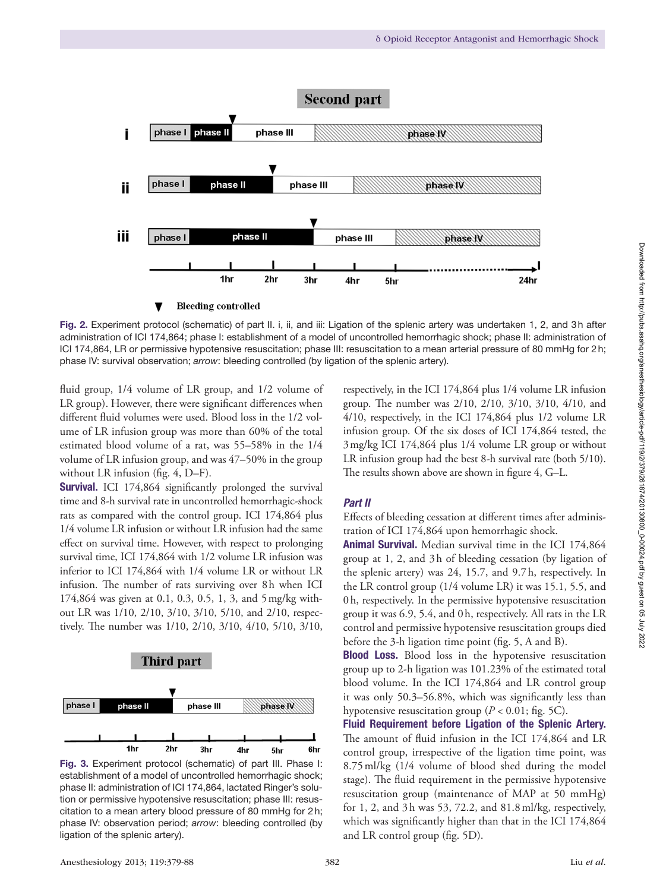

Fig. 2. Experiment protocol (schematic) of part II. i, ii, and iii: Ligation of the splenic artery was undertaken 1, 2, and 3h after administration of ICI 174,864; phase I: establishment of a model of uncontrolled hemorrhagic shock; phase II: administration of ICI 174,864, LR or permissive hypotensive resuscitation; phase III: resuscitation to a mean arterial pressure of 80 mmHg for 2h; phase IV: survival observation; *arrow*: bleeding controlled (by ligation of the splenic artery).

fluid group, 1/4 volume of LR group, and 1/2 volume of LR group). However, there were significant differences when different fluid volumes were used. Blood loss in the 1/2 volume of LR infusion group was more than 60% of the total estimated blood volume of a rat, was 55–58% in the 1/4 volume of LR infusion group, and was 47–50% in the group without LR infusion (fig. 4, D–F).

Survival. ICI 174,864 significantly prolonged the survival time and 8-h survival rate in uncontrolled hemorrhagic-shock rats as compared with the control group. ICI 174,864 plus 1/4 volume LR infusion or without LR infusion had the same effect on survival time. However, with respect to prolonging survival time, ICI 174,864 with 1/2 volume LR infusion was inferior to ICI 174,864 with 1/4 volume LR or without LR infusion. The number of rats surviving over 8h when ICI 174,864 was given at 0.1, 0.3, 0.5, 1, 3, and 5mg/kg without LR was 1/10, 2/10, 3/10, 3/10, 5/10, and 2/10, respectively. The number was 1/10, 2/10, 3/10, 4/10, 5/10, 3/10,



Fig. 3. Experiment protocol (schematic) of part III. Phase I: establishment of a model of uncontrolled hemorrhagic shock; phase II: administration of ICI 174,864, lactated Ringer's solution or permissive hypotensive resuscitation; phase III: resuscitation to a mean artery blood pressure of 80 mmHg for 2h; phase IV: observation period; *arrow*: bleeding controlled (by ligation of the splenic artery).

respectively, in the ICI 174,864 plus 1/4 volume LR infusion group. The number was 2/10, 2/10, 3/10, 3/10, 4/10, and 4/10, respectively, in the ICI 174,864 plus 1/2 volume LR infusion group. Of the six doses of ICI 174,864 tested, the 3mg/kg ICI 174,864 plus 1/4 volume LR group or without LR infusion group had the best 8-h survival rate (both 5/10). The results shown above are shown in figure 4, G–L.

## *Part II*

Effects of bleeding cessation at different times after administration of ICI 174,864 upon hemorrhagic shock.

Animal Survival. Median survival time in the ICI 174,864 group at 1, 2, and 3h of bleeding cessation (by ligation of the splenic artery) was 24, 15.7, and 9.7h, respectively. In the LR control group (1/4 volume LR) it was 15.1, 5.5, and 0h, respectively. In the permissive hypotensive resuscitation group it was 6.9, 5.4, and 0h, respectively. All rats in the LR control and permissive hypotensive resuscitation groups died before the 3-h ligation time point (fig. 5, A and B).

Blood Loss. Blood loss in the hypotensive resuscitation group up to 2-h ligation was 101.23% of the estimated total blood volume. In the ICI 174,864 and LR control group it was only 50.3–56.8%, which was significantly less than hypotensive resuscitation group ( $P < 0.01$ ; fig. 5C).

Fluid Requirement before Ligation of the Splenic Artery. The amount of fluid infusion in the ICI 174,864 and LR control group, irrespective of the ligation time point, was 8.75ml/kg (1/4 volume of blood shed during the model stage). The fluid requirement in the permissive hypotensive resuscitation group (maintenance of MAP at 50 mmHg) for 1, 2, and 3h was 53, 72.2, and 81.8ml/kg, respectively, which was significantly higher than that in the ICI 174,864 and LR control group (fig. 5D).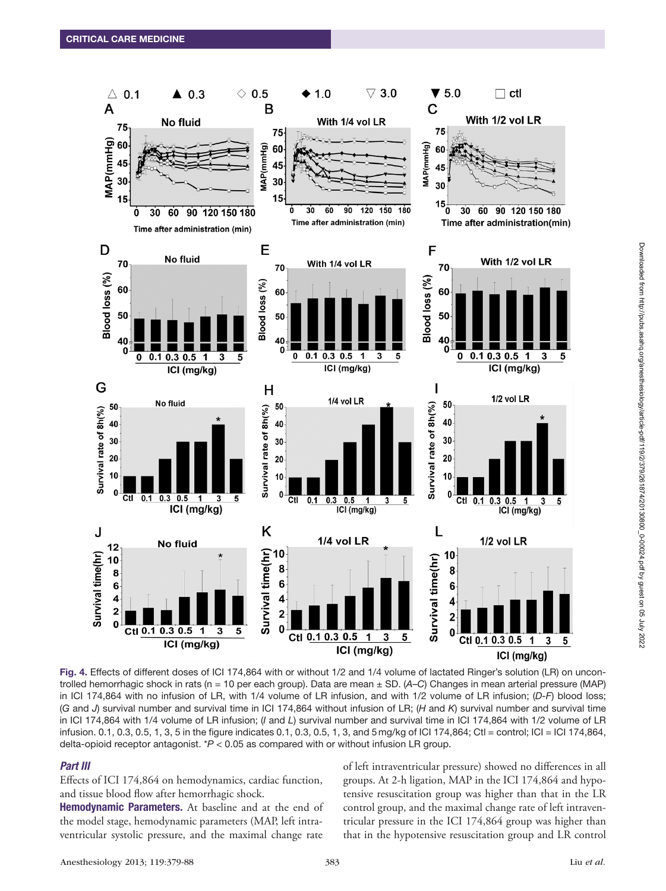

Fig. 4. Effects of different doses of ICI 174,864 with or without 1/2 and 1/4 volume of lactated Ringer's solution (LR) on uncontrolled hemorrhagic shock in rats (n = 10 per each group). Data are mean ± SD. (*A*–*C*) Changes in mean arterial pressure (MAP) in ICI 174,864 with no infusion of LR, with 1/4 volume of LR infusion, and with 1/2 volume of LR infusion; (*D-F*) blood loss; (*G* and *J*) survival number and survival time in ICI 174,864 without infusion of LR; (*H* and *K*) survival number and survival time in ICI 174,864 with 1/4 volume of LR infusion; (*I* and *L*) survival number and survival time in ICI 174,864 with 1/2 volume of LR infusion. 0.1, 0.3, 0.5, 1, 3, 5 in the figure indicates 0.1, 0.3, 0.5, 1, 3, and 5mg/kg of ICI 174,864; Ctl = control; ICI = ICI 174,864, delta-opioid receptor antagonist. \**P* < 0.05 as compared with or without infusion LR group.

#### *Part III*

Effects of ICI 174,864 on hemodynamics, cardiac function, and tissue blood flow after hemorrhagic shock.

Hemodynamic Parameters. At baseline and at the end of the model stage, hemodynamic parameters (MAP, left intraventricular systolic pressure, and the maximal change rate

of left intraventricular pressure) showed no differences in all groups. At 2-h ligation, MAP in the ICI 174,864 and hypotensive resuscitation group was higher than that in the LR control group, and the maximal change rate of left intraventricular pressure in the ICI 174,864 group was higher than that in the hypotensive resuscitation group and LR control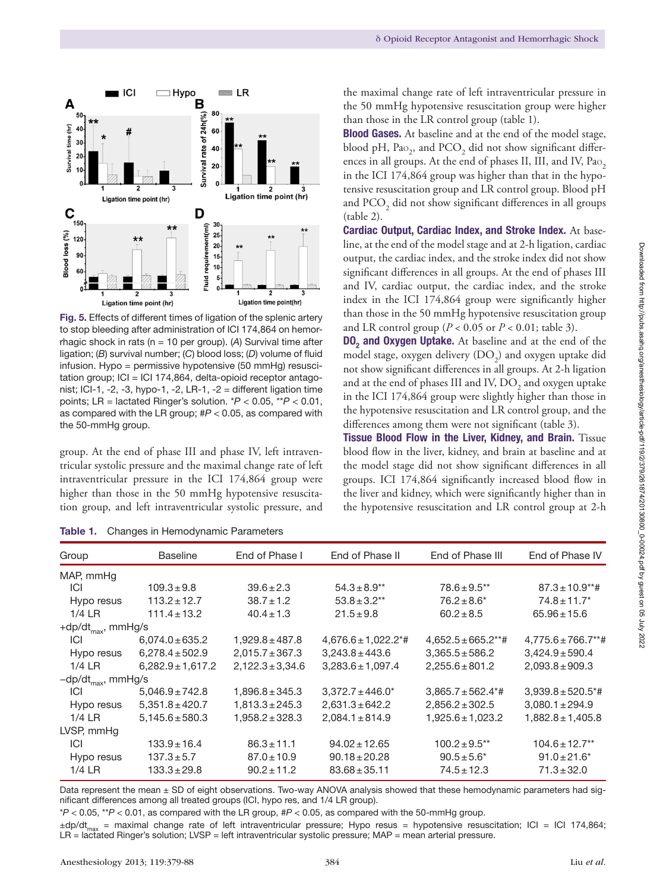

Fig. 5. Effects of different times of ligation of the splenic artery to stop bleeding after administration of ICI 174,864 on hemorrhagic shock in rats (n = 10 per group). (*A*) Survival time after ligation; (*B*) survival number; (*C*) blood loss; (*D*) volume of fluid infusion. Hypo = permissive hypotensive (50 mmHg) resusci $tation group$ ;  $|Cl = |Cl 174,864$ , delta-opioid receptor antagonist; ICI-1, -2, -3, hypo-1, -2, LR-1, -2 = different ligation time points; LR = lactated Ringer's solution. \**P* < 0.05, \*\**P* < 0.01, as compared with the LR group; #*P* < 0.05, as compared with the 50-mmHg group.

group. At the end of phase III and phase IV, left intraventricular systolic pressure and the maximal change rate of left intraventricular pressure in the ICI 174,864 group were higher than those in the 50 mmHg hypotensive resuscitation group, and left intraventricular systolic pressure, and

Table 1. Changes in Hemodynamic Parameters

the maximal change rate of left intraventricular pressure in the 50 mmHg hypotensive resuscitation group were higher than those in the LR control group (table 1).

Blood Gases. At baseline and at the end of the model stage, blood pH, Pa $_{2}$ , and PCO $_{2}$  did not show significant differences in all groups. At the end of phases II, III, and IV, Pao, in the ICI 174,864 group was higher than that in the hypotensive resuscitation group and LR control group. Blood pH and  $\mathrm{PCO}_2$  did not show significant differences in all groups (table 2).

Cardiac Output, Cardiac Index, and Stroke Index. At baseline, at the end of the model stage and at 2-h ligation, cardiac output, the cardiac index, and the stroke index did not show significant differences in all groups. At the end of phases III and IV, cardiac output, the cardiac index, and the stroke index in the ICI 174,864 group were significantly higher than those in the 50 mmHg hypotensive resuscitation group and LR control group ( $P < 0.05$  or  $P < 0.01$ ; table 3).

**DO<sub>2</sub>** and Oxygen Uptake. At baseline and at the end of the model stage, oxygen delivery  $(DO<sub>2</sub>)$  and oxygen uptake did not show significant differences in all groups. At 2-h ligation and at the end of phases III and IV,  $\mathrm{DO}_2$  and oxygen uptake in the ICI 174,864 group were slightly higher than those in the hypotensive resuscitation and LR control group, and the differences among them were not significant (table 3).

Tissue Blood Flow in the Liver, Kidney, and Brain. Tissue blood flow in the liver, kidney, and brain at baseline and at the model stage did not show significant differences in all groups. ICI 174,864 significantly increased blood flow in the liver and kidney, which were significantly higher than in the hypotensive resuscitation and LR control group at 2-h

| <b>Table 11</b> Changed in Homogynamic Faramotors |                                |                                      |                         |                                    |  |  |
|---------------------------------------------------|--------------------------------|--------------------------------------|-------------------------|------------------------------------|--|--|
| <b>Baseline</b>                                   | End of Phase I                 | End of Phase II                      | End of Phase III        | End of Phase IV                    |  |  |
|                                                   |                                |                                      |                         |                                    |  |  |
| $109.3 \pm 9.8$                                   | $39.6 \pm 2.3$                 | $54.3 \pm 8.9**$                     | $78.6 \pm 9.5$ **       | $87.3 \pm 10.9$ **#                |  |  |
| $113.2 \pm 12.7$                                  | $38.7 \pm 1.2$                 | $53.8 \pm 3.2**$                     | $76.2 \pm 8.6^*$        | $74.8 \pm 11.7$ *                  |  |  |
| $111.4 \pm 13.2$                                  | $40.4 \pm 1.3$                 | $21.5 \pm 9.8$                       | $60.2 \pm 8.5$          | $65.96 \pm 15.6$                   |  |  |
|                                                   |                                |                                      |                         |                                    |  |  |
| $6.074.0 \pm 635.2$                               | $1,929.8 \pm 487.8$            | $4,676.6 \pm 1,022.2$ <sup>*</sup> # | $4,652.5 \pm 665.2$ **# | $4,775.6 \pm 766.7$ **#            |  |  |
| $6,278.4 \pm 502.9$                               | $2,015.7 \pm 367.3$            | $3.243.8 \pm 443.6$                  | $3,365.5 \pm 586.2$     | $3,424.9 \pm 590.4$                |  |  |
| $6,282.9 \pm 1,617.2$                             | $2,122.3 \pm 3,34.6$           | $3,283.6 \pm 1,097.4$                | $2,255.6 \pm 801.2$     | $2,093.8 \pm 909.3$                |  |  |
| -dp/dt <sub>max</sub> , mmHg/s                    |                                |                                      |                         |                                    |  |  |
| $5,046.9 \pm 742.8$                               | $1,896.8 \pm 345.3$            | $3,372.7 \pm 446.0^*$                | $3,865.7 \pm 562.4**$   | $3,939.8 \pm 520.5$ <sup>*</sup> # |  |  |
| $5,351.8 \pm 420.7$                               | $1,813.3 \pm 245.3$            | $2,631.3 \pm 642.2$                  | $2,856.2 \pm 302.5$     | $3,080.1 \pm 294.9$                |  |  |
| $5,145.6 \pm 580.3$                               | $1,958.2 \pm 328.3$            | $2,084.1 \pm 814.9$                  | $1,925.6 \pm 1,023.2$   | $1,882.8 \pm 1,405.8$              |  |  |
|                                                   |                                |                                      |                         |                                    |  |  |
| $133.9 \pm 16.4$                                  | $86.3 \pm 11.1$                | $94.02 \pm 12.65$                    | $100.2 \pm 9.5$ **      | $104.6 \pm 12.7$ <sup>**</sup>     |  |  |
| $137.3 \pm 5.7$                                   | $87.0 \pm 10.9$                | $90.18 \pm 20.28$                    | $90.5 \pm 5.6^*$        | $91.0 \pm 21.6^*$                  |  |  |
| $133.3 \pm 29.8$                                  | $90.2 \pm 11.2$                | $83.68 \pm 35.11$                    | $74.5 \pm 12.3$         | $71.3 \pm 32.0$                    |  |  |
|                                                   | +dp/dt <sub>max</sub> , mmHg/s |                                      |                         |                                    |  |  |

Data represent the mean ± SD of eight observations. Two-way ANOVA analysis showed that these hemodynamic parameters had significant differences among all treated groups (ICI, hypo res, and 1/4 LR group).

\**P* < 0.05, \*\**P* < 0.01, as compared with the LR group, #*P* < 0.05, as compared with the 50-mmHg group.

±dp/dt<sub>max</sub> = maximal change rate of left intraventricular pressure; Hypo resus = hypotensive resuscitation; ICI = ICI 174,864; LR = lactated Ringer's solution; LVSP = left intraventricular systolic pressure; MAP = mean arterial pressure.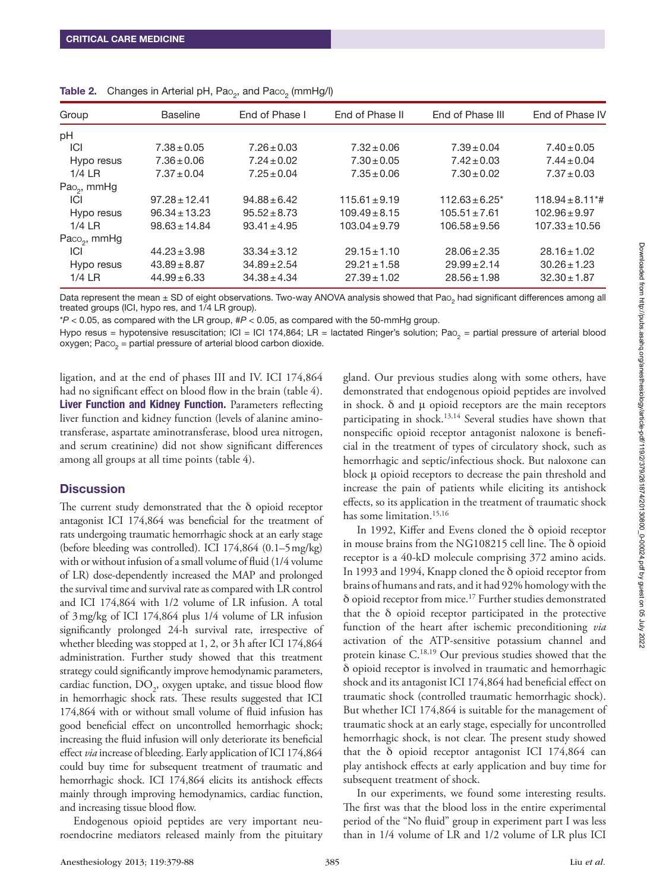| Group                    | <b>Baseline</b>   | End of Phase I   | End of Phase II   | End of Phase III    |                                  |
|--------------------------|-------------------|------------------|-------------------|---------------------|----------------------------------|
| pH                       |                   |                  |                   |                     |                                  |
| <b>ICI</b>               | $7.38 \pm 0.05$   | $7.26 \pm 0.03$  | $7.32 \pm 0.06$   | $7.39 \pm 0.04$     | $7.40 \pm 0.05$                  |
| Hypo resus               | $7.36 \pm 0.06$   | $7.24 \pm 0.02$  | $7.30 \pm 0.05$   | $7.42 \pm 0.03$     | $7.44 \pm 0.04$                  |
| $1/4$ LR                 | $7.37 \pm 0.04$   | $7.25 \pm 0.04$  | $7.35 \pm 0.06$   | $7.30 \pm 0.02$     | $7.37 \pm 0.03$                  |
| Pao <sub>2</sub> , mmHg  |                   |                  |                   |                     |                                  |
| ICI                      | $97.28 \pm 12.41$ | $94.88 \pm 6.42$ | $115.61 \pm 9.19$ | $112.63 \pm 6.25$ * | $118.94 \pm 8.11$ <sup>*</sup> # |
| Hypo resus               | $96.34 \pm 13.23$ | $95.52 \pm 8.73$ | $109.49 \pm 8.15$ | $105.51 \pm 7.61$   | $102.96 \pm 9.97$                |
| $1/4$ LR                 | $98.63 \pm 14.84$ | $93.41 \pm 4.95$ | $103.04 \pm 9.79$ | $106.58 \pm 9.56$   | $107.33 \pm 10.56$               |
| Paco <sub>2</sub> , mmHg |                   |                  |                   |                     |                                  |
| ICI                      | $44.23 \pm 3.98$  | $33.34 \pm 3.12$ | $29.15 \pm 1.10$  | $28.06 \pm 2.35$    | $28.16 \pm 1.02$                 |
| Hypo resus               | $43.89 \pm 8.87$  | $34.89 \pm 2.54$ | $29.21 \pm 1.58$  | $29.99 \pm 2.14$    | $30.26 \pm 1.23$                 |
| $1/4$ LR                 | $44.99 \pm 6.33$  | $34.38 \pm 4.34$ | $27.39 \pm 1.02$  | $28.56 \pm 1.98$    | $32.30 \pm 1.87$                 |

|  | <b>Table 2.</b> Changes in Arterial pH, Pao <sub>2</sub> , and Paco <sub>2</sub> (mmHg/l) |  |  |  |  |  |  |  |
|--|-------------------------------------------------------------------------------------------|--|--|--|--|--|--|--|
|--|-------------------------------------------------------------------------------------------|--|--|--|--|--|--|--|

Data represent the mean ± SD of eight observations. Two-way ANOVA analysis showed that Pao, had significant differences among all treated groups (ICI, hypo res, and 1/4 LR group).

\**P* < 0.05, as compared with the LR group, #*P* < 0.05, as compared with the 50-mmHg group.

Hypo resus = hypotensive resuscitation; ICI = ICI 174,864; LR = lactated Ringer's solution; Pao<sub>2</sub> = partial pressure of arterial blood oxygen; Paco $<sub>2</sub>$  = partial pressure of arterial blood carbon dioxide.</sub>

ligation, and at the end of phases III and IV. ICI 174,864 had no significant effect on blood flow in the brain (table 4). Liver Function and Kidney Function. Parameters reflecting liver function and kidney function (levels of alanine aminotransferase, aspartate aminotransferase, blood urea nitrogen, and serum creatinine) did not show significant differences among all groups at all time points (table 4).

#### **Discussion**

The current study demonstrated that the δ opioid receptor antagonist ICI 174,864 was beneficial for the treatment of rats undergoing traumatic hemorrhagic shock at an early stage (before bleeding was controlled). ICI 174,864 (0.1–5mg/kg) with or without infusion of a small volume of fluid (1/4 volume of LR) dose-dependently increased the MAP and prolonged the survival time and survival rate as compared with LR control and ICI 174,864 with 1/2 volume of LR infusion. A total of 3mg/kg of ICI 174,864 plus 1/4 volume of LR infusion significantly prolonged 24-h survival rate, irrespective of whether bleeding was stopped at 1, 2, or 3h after ICI 174,864 administration. Further study showed that this treatment strategy could significantly improve hemodynamic parameters, cardiac function,  $DO_{2}$ , oxygen uptake, and tissue blood flow in hemorrhagic shock rats. These results suggested that ICI 174,864 with or without small volume of fluid infusion has good beneficial effect on uncontrolled hemorrhagic shock; increasing the fluid infusion will only deteriorate its beneficial effect *via* increase of bleeding. Early application of ICI 174,864 could buy time for subsequent treatment of traumatic and hemorrhagic shock. ICI 174,864 elicits its antishock effects mainly through improving hemodynamics, cardiac function, and increasing tissue blood flow.

Endogenous opioid peptides are very important neuroendocrine mediators released mainly from the pituitary

gland. Our previous studies along with some others, have demonstrated that endogenous opioid peptides are involved in shock. δ and μ opioid receptors are the main receptors participating in shock.<sup>13,14</sup> Several studies have shown that nonspecific opioid receptor antagonist naloxone is beneficial in the treatment of types of circulatory shock, such as hemorrhagic and septic/infectious shock. But naloxone can block μ opioid receptors to decrease the pain threshold and increase the pain of patients while eliciting its antishock effects, so its application in the treatment of traumatic shock has some limitation.<sup>15,16</sup>

In 1992, Kiffer and Evens cloned the δ opioid receptor in mouse brains from the NG108215 cell line. The δ opioid receptor is a 40-kD molecule comprising 372 amino acids. In 1993 and 1994, Knapp cloned the δ opioid receptor from brains of humans and rats, and it had 92% homology with the δ opioid receptor from mice.17 Further studies demonstrated that the δ opioid receptor participated in the protective function of the heart after ischemic preconditioning *via* activation of the ATP-sensitive potassium channel and protein kinase C.18,19 Our previous studies showed that the δ opioid receptor is involved in traumatic and hemorrhagic shock and its antagonist ICI 174,864 had beneficial effect on traumatic shock (controlled traumatic hemorrhagic shock). But whether ICI 174,864 is suitable for the management of traumatic shock at an early stage, especially for uncontrolled hemorrhagic shock, is not clear. The present study showed that the δ opioid receptor antagonist ICI 174,864 can play antishock effects at early application and buy time for subsequent treatment of shock.

In our experiments, we found some interesting results. The first was that the blood loss in the entire experimental period of the "No fluid" group in experiment part I was less than in 1/4 volume of LR and 1/2 volume of LR plus ICI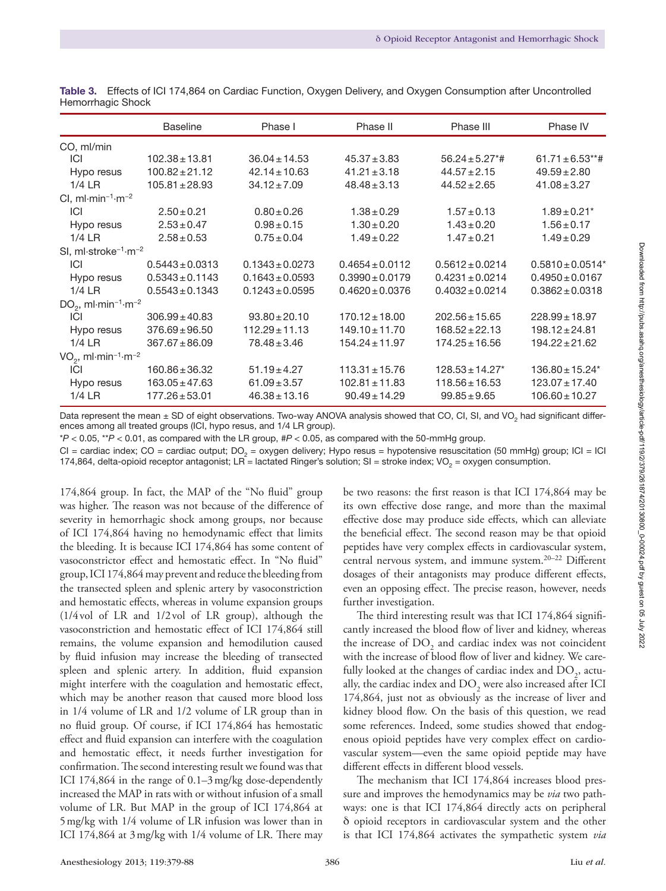|                                                             | <b>Baseline</b>     | Phase I             | Phase III<br>Phase II |                                 | Phase IV             |
|-------------------------------------------------------------|---------------------|---------------------|-----------------------|---------------------------------|----------------------|
| CO, ml/min                                                  |                     |                     |                       |                                 |                      |
| ICI                                                         | $102.38 \pm 13.81$  | $36.04 \pm 14.53$   | $45.37 \pm 3.83$      | $56.24 \pm 5.27$ <sup>*</sup> # | $61.71 \pm 6.53$ **# |
| Hypo resus                                                  | $100.82 \pm 21.12$  | $42.14 \pm 10.63$   | $41.21 \pm 3.18$      | $44.57 \pm 2.15$                | $49.59 \pm 2.80$     |
| $1/4$ LR                                                    | $105.81 \pm 28.93$  | $34.12 \pm 7.09$    | $48.48 \pm 3.13$      | $44.52 \pm 2.65$                | $41.08 \pm 3.27$     |
| CI, $ml·min-1·m-2$                                          |                     |                     |                       |                                 |                      |
| ICI                                                         | $2.50 \pm 0.21$     | $0.80 \pm 0.26$     | $1.38 \pm 0.29$       | $1.57 \pm 0.13$                 | $1.89 \pm 0.21$ *    |
| Hypo resus                                                  | $2.53 \pm 0.47$     | $0.98 \pm 0.15$     | $1.30 \pm 0.20$       | $1.43 \pm 0.20$                 | $1.56 \pm 0.17$      |
| $1/4$ LR                                                    | $2.58 \pm 0.53$     | $0.75 \pm 0.04$     | $1.49 \pm 0.22$       | $1.47 \pm 0.21$                 | $1.49 \pm 0.29$      |
| SI, ml $\cdot$ stroke <sup>-1</sup> $\cdot$ m <sup>-2</sup> |                     |                     |                       |                                 |                      |
| ICI                                                         | $0.5443 \pm 0.0313$ | $0.1343 \pm 0.0273$ | $0.4654 \pm 0.0112$   | $0.5612 \pm 0.0214$             | $0.5810 \pm 0.0514*$ |
| Hypo resus                                                  | $0.5343 \pm 0.1143$ | $0.1643 \pm 0.0593$ | $0.3990 \pm 0.0179$   | $0.4231 \pm 0.0214$             | $0.4950 \pm 0.0167$  |
| $1/4$ LR                                                    | $0.5543 \pm 0.1343$ | $0.1243 \pm 0.0595$ | $0.4620 \pm 0.0376$   | $0.4032 \pm 0.0214$             | $0.3862 \pm 0.0318$  |
| $DO2$ , ml·min <sup>-1</sup> ·m <sup>-2</sup>               |                     |                     |                       |                                 |                      |
| ICI                                                         | $306.99 \pm 40.83$  | $93.80 \pm 20.10$   | $170.12 \pm 18.00$    | $202.56 \pm 15.65$              | $228.99 \pm 18.97$   |
| Hypo resus                                                  | $376.69 \pm 96.50$  | $112.29 \pm 11.13$  | $149.10 \pm 11.70$    | $168.52 \pm 22.13$              | $198.12 \pm 24.81$   |
| $1/4$ LR                                                    | $367.67 \pm 86.09$  | $78.48 \pm 3.46$    | $154.24 \pm 11.97$    | $174.25 \pm 16.56$              | $194.22 \pm 21.62$   |
| $VO2$ , ml·min <sup>-1</sup> ·m <sup>-2</sup>               |                     |                     |                       |                                 |                      |
| ICI                                                         | $160.86 \pm 36.32$  | $51.19 \pm 4.27$    | $113.31 \pm 15.76$    | $128.53 \pm 14.27$ *            | $136.80 \pm 15.24^*$ |
| Hypo resus                                                  | $163.05 \pm 47.63$  | $61.09 \pm 3.57$    | $102.81 \pm 11.83$    | $118.56 \pm 16.53$              | $123.07 \pm 17.40$   |
| $1/4$ LR                                                    | $177.26 \pm 53.01$  | $46.38 \pm 13.16$   | $90.49 \pm 14.29$     | $99.85 \pm 9.65$                | $106.60 \pm 10.27$   |

Table 3. Effects of ICI 174,864 on Cardiac Function, Oxygen Delivery, and Oxygen Consumption after Uncontrolled Hemorrhagic Shock

Data represent the mean  $\pm$  SD of eight observations. Two-way ANOVA analysis showed that CO, CI, SI, and VO<sub>2</sub> had significant differences among all treated groups (ICI, hypo resus, and 1/4 LR group).

\**P* < 0.05, \*\**P* < 0.01, as compared with the LR group, #*P* < 0.05, as compared with the 50-mmHg group.

 $CI =$  cardiac index;  $CO =$  cardiac output;  $DO<sub>2</sub> =$  oxygen delivery; Hypo resus = hypotensive resuscitation (50 mmHg) group;  $ICI = ICI$ 174,864, delta-opioid receptor antagonist; LR = lactated Ringer's solution; SI = stroke index; VO<sub>2</sub> = oxygen consumption.

174,864 group. In fact, the MAP of the "No fluid" group was higher. The reason was not because of the difference of severity in hemorrhagic shock among groups, nor because of ICI 174,864 having no hemodynamic effect that limits the bleeding. It is because ICI 174,864 has some content of vasoconstrictor effect and hemostatic effect. In "No fluid" group, ICI 174,864 may prevent and reduce the bleeding from the transected spleen and splenic artery by vasoconstriction and hemostatic effects, whereas in volume expansion groups (1/4vol of LR and 1/2vol of LR group), although the vasoconstriction and hemostatic effect of ICI 174,864 still remains, the volume expansion and hemodilution caused by fluid infusion may increase the bleeding of transected spleen and splenic artery. In addition, fluid expansion might interfere with the coagulation and hemostatic effect, which may be another reason that caused more blood loss in 1/4 volume of LR and 1/2 volume of LR group than in no fluid group. Of course, if ICI 174,864 has hemostatic effect and fluid expansion can interfere with the coagulation and hemostatic effect, it needs further investigation for confirmation. The second interesting result we found was that ICI 174,864 in the range of 0.1–3mg/kg dose-dependently increased the MAP in rats with or without infusion of a small volume of LR. But MAP in the group of ICI 174,864 at 5mg/kg with 1/4 volume of LR infusion was lower than in ICI 174,864 at 3mg/kg with 1/4 volume of LR. There may

be two reasons: the first reason is that ICI 174,864 may be its own effective dose range, and more than the maximal effective dose may produce side effects, which can alleviate the beneficial effect. The second reason may be that opioid peptides have very complex effects in cardiovascular system, central nervous system, and immune system.20–22 Different dosages of their antagonists may produce different effects, even an opposing effect. The precise reason, however, needs further investigation.

The third interesting result was that ICI 174,864 significantly increased the blood flow of liver and kidney, whereas the increase of  $DO<sub>2</sub>$  and cardiac index was not coincident with the increase of blood flow of liver and kidney. We carefully looked at the changes of cardiac index and  $\mathrm{DO}_2^{}$ , actually, the cardiac index and  $\mathrm{DO}_2$  were also increased after ICI 174,864, just not as obviously as the increase of liver and kidney blood flow. On the basis of this question, we read some references. Indeed, some studies showed that endogenous opioid peptides have very complex effect on cardiovascular system—even the same opioid peptide may have different effects in different blood vessels.

The mechanism that ICI 174,864 increases blood pressure and improves the hemodynamics may be *via* two pathways: one is that ICI 174,864 directly acts on peripheral δ opioid receptors in cardiovascular system and the other is that ICI 174,864 activates the sympathetic system *via*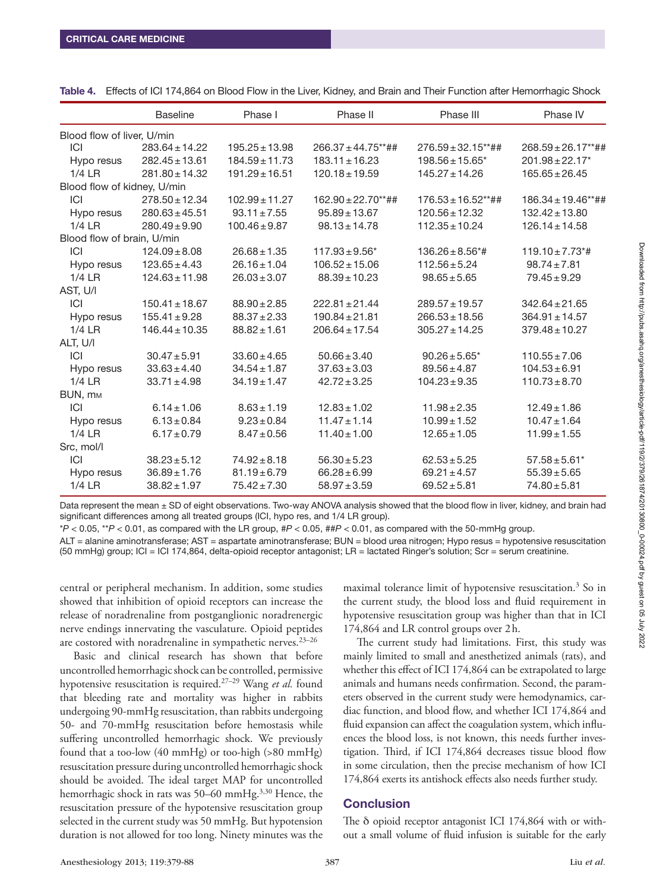|                             | <b>Baseline</b>    | Phase I            | Phase II                | Phase III                        | Phase IV                         |
|-----------------------------|--------------------|--------------------|-------------------------|----------------------------------|----------------------------------|
| Blood flow of liver, U/min  |                    |                    |                         |                                  |                                  |
| ICI                         | $283.64 \pm 14.22$ | $195.25 \pm 13.98$ | $266.37 \pm 44.75$ **## | $276.59 \pm 32.15***$ ##         | $268.59 \pm 26.17**$ ##          |
| Hypo resus                  | $282.45 \pm 13.61$ | $184.59 \pm 11.73$ | $183.11 \pm 16.23$      | $198.56 \pm 15.65^*$             | $201.98 \pm 22.17$ *             |
| $1/4$ LR                    | $281.80 \pm 14.32$ | $191.29 \pm 16.51$ | $120.18 \pm 19.59$      | $145.27 \pm 14.26$               | $165.65 \pm 26.45$               |
| Blood flow of kidney, U/min |                    |                    |                         |                                  |                                  |
| ICI                         | $278.50 \pm 12.34$ | $102.99 \pm 11.27$ | $162.90 \pm 22.70$ **## | $176.53 \pm 16.52***$ ##         | $186.34 \pm 19.46**$ ##          |
| Hypo resus                  | $280.63 \pm 45.51$ | $93.11 \pm 7.55$   | $95.89 \pm 13.67$       | $120.56 \pm 12.32$               | $132.42 \pm 13.80$               |
| $1/4$ LR                    | $280.49 \pm 9.90$  | $100.46 \pm 9.87$  | $98.13 \pm 14.78$       | $112.35 \pm 10.24$               | $126.14 \pm 14.58$               |
| Blood flow of brain, U/min  |                    |                    |                         |                                  |                                  |
| ICI                         | $124.09 \pm 8.08$  | $26.68 \pm 1.35$   | $117.93 \pm 9.56^*$     | $136.26 \pm 8.56$ <sup>*</sup> # | $119.10 \pm 7.73$ <sup>*</sup> # |
| Hypo resus                  | $123.65 \pm 4.43$  | $26.16 \pm 1.04$   | $106.52 \pm 15.06$      | $112.56 \pm 5.24$                | $98.74 \pm 7.81$                 |
| $1/4$ LR                    | $124.63 \pm 11.98$ | $26.03 \pm 3.07$   | $88.39 \pm 10.23$       | $98.65 \pm 5.65$                 | $79.45 \pm 9.29$                 |
| AST, U/I                    |                    |                    |                         |                                  |                                  |
| ICI                         | $150.41 \pm 18.67$ | $88.90 \pm 2.85$   | $222.81 \pm 21.44$      | $289.57 \pm 19.57$               | $342.64 \pm 21.65$               |
| Hypo resus                  | $155.41 \pm 9.28$  | $88.37 \pm 2.33$   | $190.84 \pm 21.81$      | $266.53 \pm 18.56$               | $364.91 \pm 14.57$               |
| $1/4$ LR                    | $146.44 \pm 10.35$ | $88.82 \pm 1.61$   | $206.64 \pm 17.54$      | $305.27 \pm 14.25$               | $379.48 \pm 10.27$               |
| ALT, U/I                    |                    |                    |                         |                                  |                                  |
| ICI                         | $30.47 \pm 5.91$   | $33.60 \pm 4.65$   | $50.66 \pm 3.40$        | $90.26 \pm 5.65$ *               | $110.55 \pm 7.06$                |
| Hypo resus                  | $33.63 \pm 4.40$   | $34.54 \pm 1.87$   | $37.63 \pm 3.03$        | $89.56 \pm 4.87$                 | $104.53 \pm 6.91$                |
| $1/4$ LR                    | $33.71 \pm 4.98$   | $34.19 \pm 1.47$   | $42.72 \pm 3.25$        | $104.23 \pm 9.35$                | $110.73 \pm 8.70$                |
| BUN, MM                     |                    |                    |                         |                                  |                                  |
| ICI                         | $6.14 \pm 1.06$    | $8.63 \pm 1.19$    | $12.83 \pm 1.02$        | $11.98 \pm 2.35$                 | $12.49 \pm 1.86$                 |
| Hypo resus                  | $6.13 \pm 0.84$    | $9.23 \pm 0.84$    | $11.47 \pm 1.14$        | $10.99 \pm 1.52$                 | $10.47 \pm 1.64$                 |
| $1/4$ LR                    | $6.17 \pm 0.79$    | $8.47 \pm 0.56$    | $11.40 \pm 1.00$        | $12.65 \pm 1.05$                 | $11.99 \pm 1.55$                 |
| Src, mol/l                  |                    |                    |                         |                                  |                                  |
| ICI                         | $38.23 \pm 5.12$   | $74.92 \pm 8.18$   | $56.30 \pm 5.23$        | $62.53 \pm 5.25$                 | $57.58 \pm 5.61*$                |
| Hypo resus                  | $36.89 \pm 1.76$   | $81.19 \pm 6.79$   | $66.28 \pm 6.99$        | $69.21 \pm 4.57$                 | $55.39 \pm 5.65$                 |
| $1/4$ LR                    | $38.82 \pm 1.97$   | $75.42 \pm 7.30$   | $58.97 \pm 3.59$        | $69.52 \pm 5.81$                 | $74.80 \pm 5.81$                 |

Table 4. Effects of ICI 174,864 on Blood Flow in the Liver, Kidney, and Brain and Their Function after Hemorrhagic Shock

Data represent the mean ± SD of eight observations. Two-way ANOVA analysis showed that the blood flow in liver, kidney, and brain had significant differences among all treated groups (ICI, hypo res, and 1/4 LR group).

\**P* < 0.05, \*\**P* < 0.01, as compared with the LR group, #*P* < 0.05, ##*P* < 0.01, as compared with the 50-mmHg group.

ALT = alanine aminotransferase; AST = aspartate aminotransferase; BUN = blood urea nitrogen; Hypo resus = hypotensive resuscitation (50 mmHg) group; ICI = ICI 174,864, delta-opioid receptor antagonist; LR = lactated Ringer's solution; Scr = serum creatinine.

central or peripheral mechanism. In addition, some studies showed that inhibition of opioid receptors can increase the release of noradrenaline from postganglionic noradrenergic nerve endings innervating the vasculature. Opioid peptides are costored with noradrenaline in sympathetic nerves. $23-26$ 

Basic and clinical research has shown that before uncontrolled hemorrhagic shock can be controlled, permissive hypotensive resuscitation is required.27–29 Wang *et al.* found that bleeding rate and mortality was higher in rabbits undergoing 90-mmHg resuscitation, than rabbits undergoing 50- and 70-mmHg resuscitation before hemostasis while suffering uncontrolled hemorrhagic shock. We previously found that a too-low (40 mmHg) or too-high (>80 mmHg) resuscitation pressure during uncontrolled hemorrhagic shock should be avoided. The ideal target MAP for uncontrolled hemorrhagic shock in rats was 50–60 mmHg.<sup>3,30</sup> Hence, the resuscitation pressure of the hypotensive resuscitation group selected in the current study was 50 mmHg. But hypotension duration is not allowed for too long. Ninety minutes was the

maximal tolerance limit of hypotensive resuscitation.3 So in the current study, the blood loss and fluid requirement in hypotensive resuscitation group was higher than that in ICI 174,864 and LR control groups over 2h.

The current study had limitations. First, this study was mainly limited to small and anesthetized animals (rats), and whether this effect of ICI 174,864 can be extrapolated to large animals and humans needs confirmation. Second, the parameters observed in the current study were hemodynamics, cardiac function, and blood flow, and whether ICI 174,864 and fluid expansion can affect the coagulation system, which influences the blood loss, is not known, this needs further investigation. Third, if ICI 174,864 decreases tissue blood flow in some circulation, then the precise mechanism of how ICI 174,864 exerts its antishock effects also needs further study.

## **Conclusion**

The δ opioid receptor antagonist ICI 174,864 with or without a small volume of fluid infusion is suitable for the early